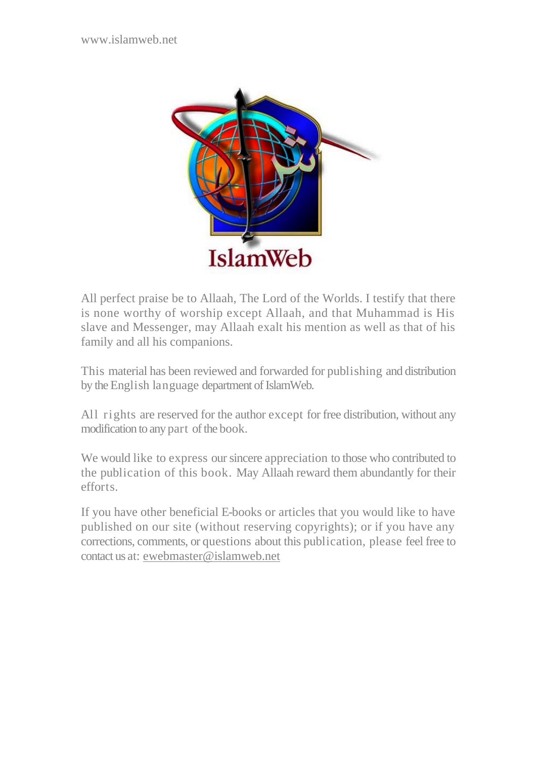

All perfect praise be to Allaah, The Lord of the Worlds. I testify that there is none worthy of worship except Allaah, and that Muhammad is His slave and Messenger, may Allaah exalt his mention as well as that of his family and all his companions.

This material has been reviewed and forwarded for publishing and distribution by the English language department of IslamWeb.

All rights are reserved for the author except for free distribution, without any modification to any part of the book.

We would like to express our sincere appreciation to those who contributed to the publication of this book. May Allaah reward them abundantly for their efforts.

If you have other beneficial E-books or articles that you would like to have published on our site (without reserving copyrights); or if you have any corrections, comments, or questions about this publication, please feel free to contact us at: ewebmaster@islamweb.net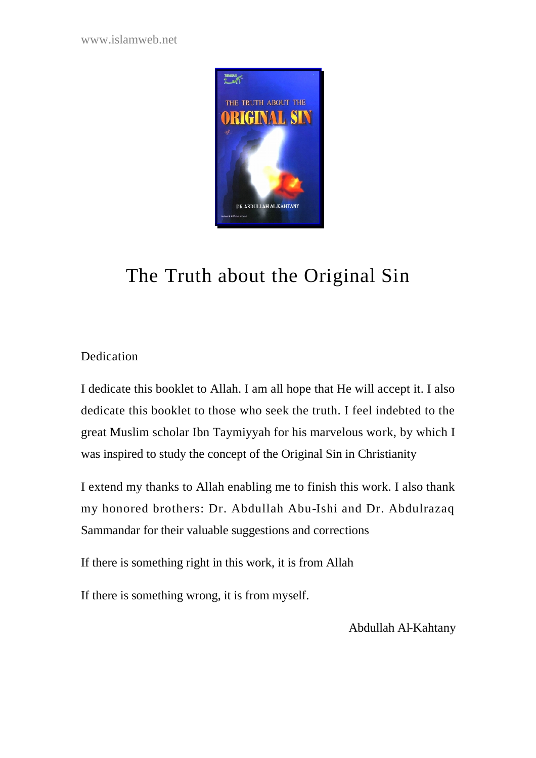www.islamweb.net



# The Truth about the Original Sin

# **Dedication**

I dedicate this booklet to Allah. I am all hope that He will accept it. I also dedicate this booklet to those who seek the truth. I feel indebted to the great Muslim scholar Ibn Taymiyyah for his marvelous work, by which I was inspired to study the concept of the Original Sin in Christianity

I extend my thanks to Allah enabling me to finish this work. I also thank my honored brothers: Dr. Abdullah Abu-Ishi and Dr. Abdulrazaq Sammandar for their valuable suggestions and corrections

If there is something right in this work, it is from Allah

If there is something wrong, it is from myself.

Abdullah Al-Kahtany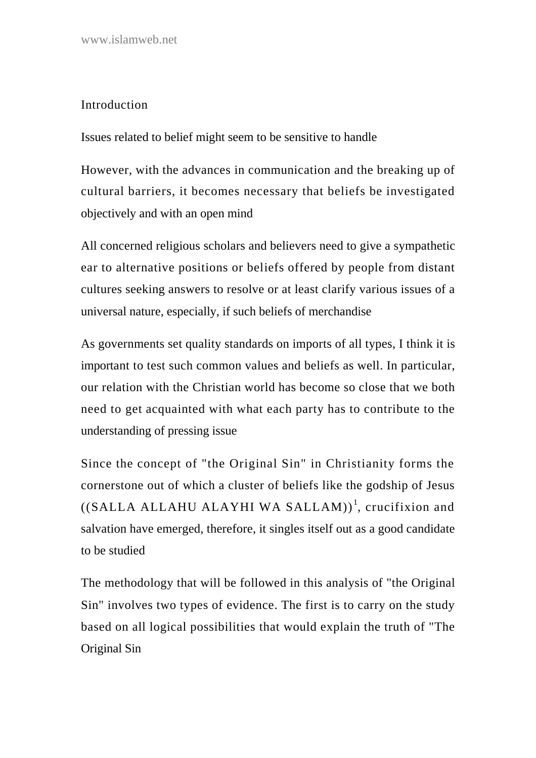## **Introduction**

Issues related to belief might seem to be sensitive to handle

However, with the advances in communication and the breaking up of cultural barriers, it becomes necessary that beliefs be investigated objectively and with an open mind

All concerned religious scholars and believers need to give a sympathetic ear to alternative positions or beliefs offered by people from distant cultures seeking answers to resolve or at least clarify various issues of a universal nature, especially, if such beliefs of merchandise

As governments set quality standards on imports of all types, I think it is important to test such common values and beliefs as well. In particular, our relation with the Christian world has become so close that we both need to get acquainted with what each party has to contribute to the understanding of pressing issue

Since the concept of "the Original Sin" in Christianity forms the cornerstone out of which a cluster of beliefs like the godship of Jesus  $((SALLA ALLAHU ALAYHI WA SALLAM))<sup>1</sup>$ , crucifixion and salvation have emerged, therefore, it singles itself out as a good candidate to be studied

The methodology that will be followed in this analysis of "the Original Sin" involves two types of evidence. The first is to carry on the study based on all logical possibilities that would explain the truth of "The Original Sin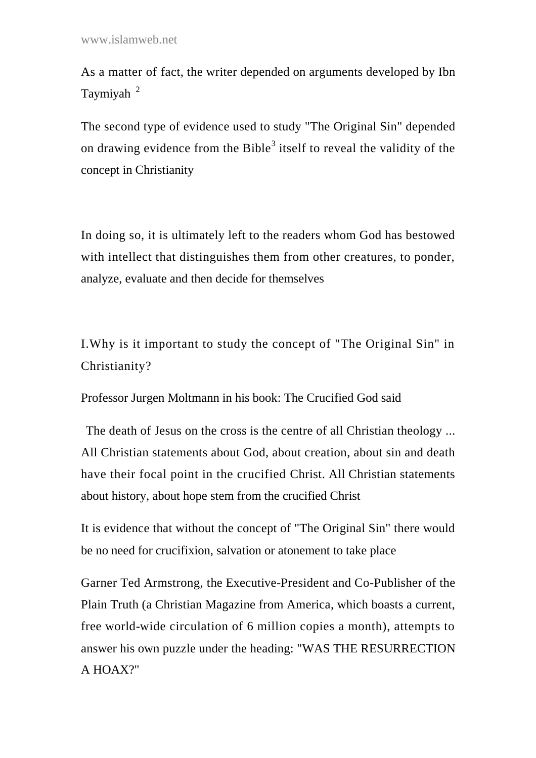As a matter of fact, the writer depended on arguments developed by Ibn Taymiyah<sup>2</sup>

The second type of evidence used to study "The Original Sin" depended on drawing evidence from the Bible<sup>3</sup> itself to reveal the validity of the concept in Christianity

In doing so, it is ultimately left to the readers whom God has bestowed with intellect that distinguishes them from other creatures, to ponder, analyze, evaluate and then decide for themselves

I.Why is it important to study the concept of "The Original Sin" in Christianity?

Professor Jurgen Moltmann in his book: The Crucified God said

The death of Jesus on the cross is the centre of all Christian theology ... All Christian statements about God, about creation, about sin and death have their focal point in the crucified Christ. All Christian statements about history, about hope stem from the crucified Christ

It is evidence that without the concept of "The Original Sin" there would be no need for crucifixion, salvation or atonement to take place

Garner Ted Armstrong, the Executive-President and Co-Publisher of the Plain Truth (a Christian Magazine from America, which boasts a current, free world-wide circulation of 6 million copies a month), attempts to answer his own puzzle under the heading: "WAS THE RESURRECTION A HOAX?"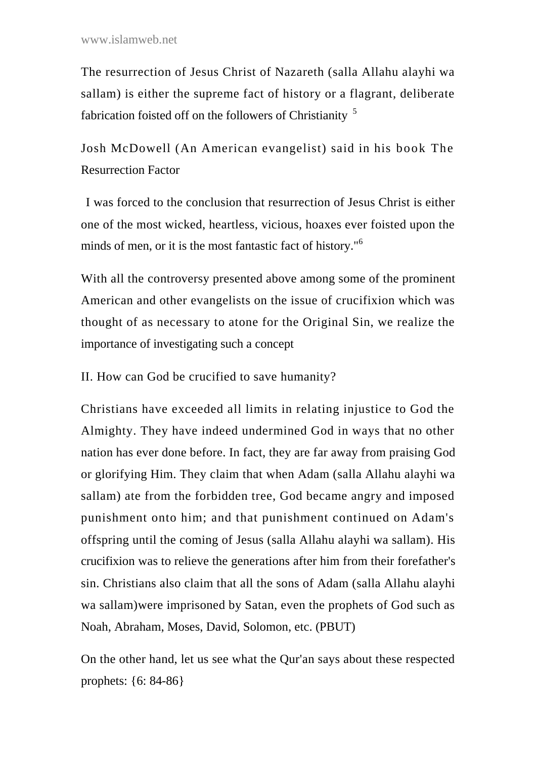The resurrection of Jesus Christ of Nazareth (salla Allahu alayhi wa sallam) is either the supreme fact of history or a flagrant, deliberate fabrication foisted off on the followers of Christianity<sup>5</sup>

Josh McDowell (An American evangelist) said in his book The Resurrection Factor

I was forced to the conclusion that resurrection of Jesus Christ is either one of the most wicked, heartless, vicious, hoaxes ever foisted upon the minds of men, or it is the most fantastic fact of history."<sup>6</sup>

With all the controversy presented above among some of the prominent American and other evangelists on the issue of crucifixion which was thought of as necessary to atone for the Original Sin, we realize the importance of investigating such a concept

II. How can God be crucified to save humanity?

Christians have exceeded all limits in relating injustice to God the Almighty. They have indeed undermined God in ways that no other nation has ever done before. In fact, they are far away from praising God or glorifying Him. They claim that when Adam (salla Allahu alayhi wa sallam) ate from the forbidden tree, God became angry and imposed punishment onto him; and that punishment continued on Adam's offspring until the coming of Jesus (salla Allahu alayhi wa sallam). His crucifixion was to relieve the generations after him from their forefather's sin. Christians also claim that all the sons of Adam (salla Allahu alayhi wa sallam)were imprisoned by Satan, even the prophets of God such as Noah, Abraham, Moses, David, Solomon, etc. (PBUT)

On the other hand, let us see what the Qur'an says about these respected prophets: {6: 84-86}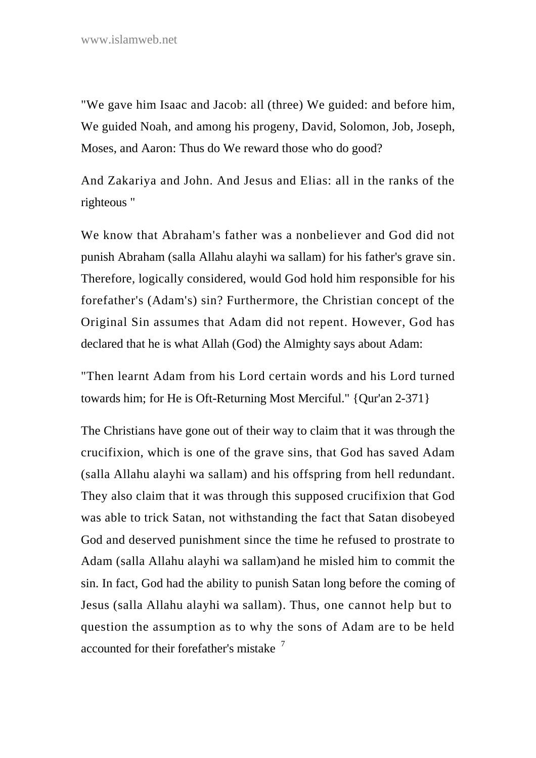"We gave him Isaac and Jacob: all (three) We guided: and before him, We guided Noah, and among his progeny, David, Solomon, Job, Joseph, Moses, and Aaron: Thus do We reward those who do good?

And Zakariya and John. And Jesus and Elias: all in the ranks of the righteous "

We know that Abraham's father was a nonbeliever and God did not punish Abraham (salla Allahu alayhi wa sallam) for his father's grave sin. Therefore, logically considered, would God hold him responsible for his forefather's (Adam's) sin? Furthermore, the Christian concept of the Original Sin assumes that Adam did not repent. However, God has declared that he is what Allah (God) the Almighty says about Adam:

"Then learnt Adam from his Lord certain words and his Lord turned towards him; for He is Oft-Returning Most Merciful." {Qur'an 2-371}

The Christians have gone out of their way to claim that it was through the crucifixion, which is one of the grave sins, that God has saved Adam (salla Allahu alayhi wa sallam) and his offspring from hell redundant. They also claim that it was through this supposed crucifixion that God was able to trick Satan, not withstanding the fact that Satan disobeyed God and deserved punishment since the time he refused to prostrate to Adam (salla Allahu alayhi wa sallam)and he misled him to commit the sin. In fact, God had the ability to punish Satan long before the coming of Jesus (salla Allahu alayhi wa sallam). Thus, one cannot help but to question the assumption as to why the sons of Adam are to be held accounted for their forefather's mistake  $7$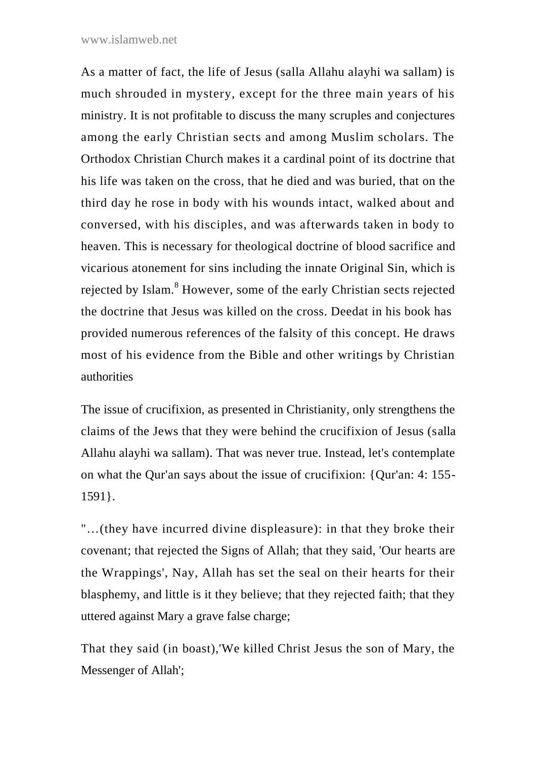As a matter of fact, the life of Jesus (salla Allahu alayhi wa sallam) is much shrouded in mystery, except for the three main years of his ministry. It is not profitable to discuss the many scruples and conjectures among the early Christian sects and among Muslim scholars. The Orthodox Christian Church makes it a cardinal point of its doctrine that his life was taken on the cross, that he died and was buried, that on the third day he rose in body with his wounds intact, walked about and conversed, with his disciples, and was afterwards taken in body to heaven. This is necessary for theological doctrine of blood sacrifice and vicarious atonement for sins including the innate Original Sin, which is rejected by Islam.<sup>8</sup> However, some of the early Christian sects rejected the doctrine that Jesus was killed on the cross. Deedat in his book has provided numerous references of the falsity of this concept. He draws most of his evidence from the Bible and other writings by Christian authorities

The issue of crucifixion, as presented in Christianity, only strengthens the claims of the Jews that they were behind the crucifixion of Jesus (salla Allahu alayhi wa sallam). That was never true. Instead, let's contemplate on what the Qur'an says about the issue of crucifixion: {Qur'an: 4: 155- 1591}.

"…(they have incurred divine displeasure): in that they broke their covenant; that rejected the Signs of Allah; that they said, 'Our hearts are the Wrappings', Nay, Allah has set the seal on their hearts for their blasphemy, and little is it they believe; that they rejected faith; that they uttered against Mary a grave false charge;

That they said (in boast),'We killed Christ Jesus the son of Mary, the Messenger of Allah';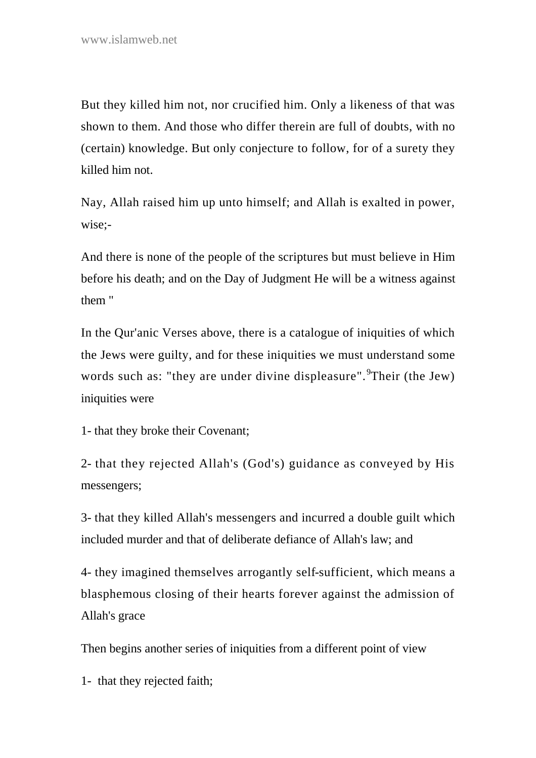But they killed him not, nor crucified him. Only a likeness of that was shown to them. And those who differ therein are full of doubts, with no (certain) knowledge. But only conjecture to follow, for of a surety they killed him not.

Nay, Allah raised him up unto himself; and Allah is exalted in power, wise;-

And there is none of the people of the scriptures but must believe in Him before his death; and on the Day of Judgment He will be a witness against them "

In the Qur'anic Verses above, there is a catalogue of iniquities of which the Jews were guilty, and for these iniquities we must understand some words such as: "they are under divine displeasure". <sup>9</sup>Their (the Jew) iniquities were

1- that they broke their Covenant;

2- that they rejected Allah's (God's) guidance as conveyed by His messengers;

3- that they killed Allah's messengers and incurred a double guilt which included murder and that of deliberate defiance of Allah's law; and

4- they imagined themselves arrogantly self-sufficient, which means a blasphemous closing of their hearts forever against the admission of Allah's grace

Then begins another series of iniquities from a different point of view

1- that they rejected faith;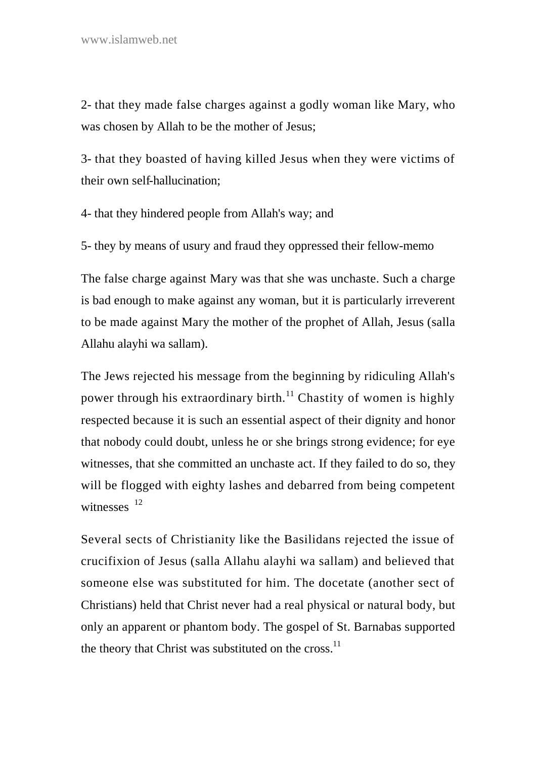2- that they made false charges against a godly woman like Mary, who was chosen by Allah to be the mother of Jesus;

3- that they boasted of having killed Jesus when they were victims of their own self-hallucination;

4- that they hindered people from Allah's way; and

5- they by means of usury and fraud they oppressed their fellow-memo

The false charge against Mary was that she was unchaste. Such a charge is bad enough to make against any woman, but it is particularly irreverent to be made against Mary the mother of the prophet of Allah, Jesus (salla Allahu alayhi wa sallam).

The Jews rejected his message from the beginning by ridiculing Allah's power through his extraordinary birth.<sup>11</sup> Chastity of women is highly respected because it is such an essential aspect of their dignity and honor that nobody could doubt, unless he or she brings strong evidence; for eye witnesses, that she committed an unchaste act. If they failed to do so, they will be flogged with eighty lashes and debarred from being competent witnesses  $12$ 

Several sects of Christianity like the Basilidans rejected the issue of crucifixion of Jesus (salla Allahu alayhi wa sallam) and believed that someone else was substituted for him. The docetate (another sect of Christians) held that Christ never had a real physical or natural body, but only an apparent or phantom body. The gospel of St. Barnabas supported the theory that Christ was substituted on the  $cross.<sup>11</sup>$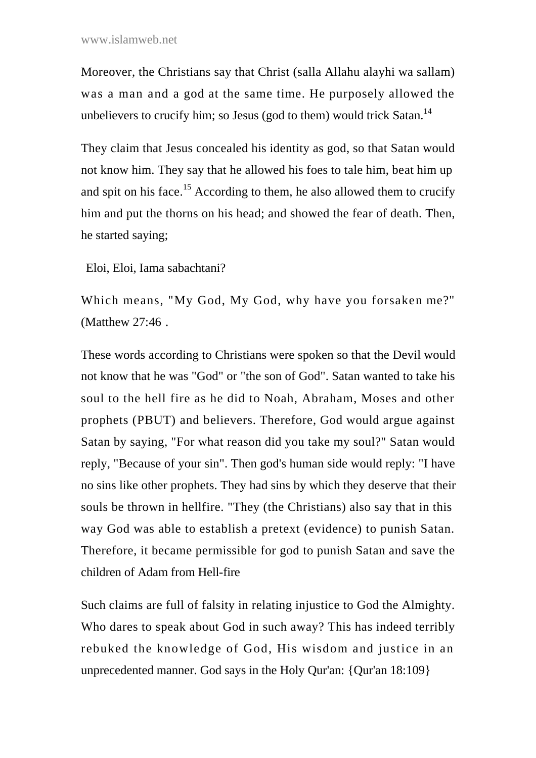Moreover, the Christians say that Christ (salla Allahu alayhi wa sallam) was a man and a god at the same time. He purposely allowed the unbelievers to crucify him; so Jesus (god to them) would trick Satan.<sup>14</sup>

They claim that Jesus concealed his identity as god, so that Satan would not know him. They say that he allowed his foes to tale him, beat him up and spit on his face.<sup>15</sup> According to them, he also allowed them to crucify him and put the thorns on his head; and showed the fear of death. Then, he started saying;

Eloi, Eloi, Iama sabachtani?

Which means, "My God, My God, why have you forsaken me?" (Matthew 27:46 .

These words according to Christians were spoken so that the Devil would not know that he was "God" or "the son of God". Satan wanted to take his soul to the hell fire as he did to Noah, Abraham, Moses and other prophets (PBUT) and believers. Therefore, God would argue against Satan by saying, "For what reason did you take my soul?" Satan would reply, "Because of your sin". Then god's human side would reply: "I have no sins like other prophets. They had sins by which they deserve that their souls be thrown in hellfire. "They (the Christians) also say that in this way God was able to establish a pretext (evidence) to punish Satan. Therefore, it became permissible for god to punish Satan and save the children of Adam from Hell-fire

Such claims are full of falsity in relating injustice to God the Almighty. Who dares to speak about God in such away? This has indeed terribly rebuked the knowledge of God, His wisdom and justice in an unprecedented manner. God says in the Holy Qur'an: {Qur'an 18:109}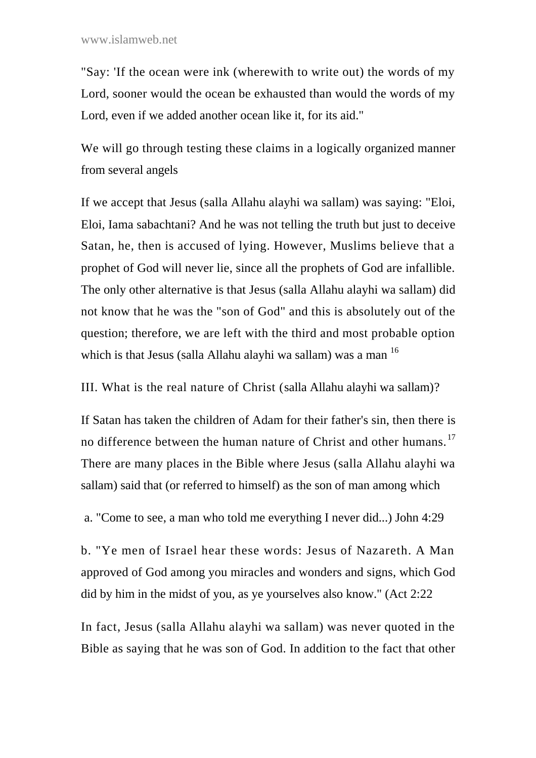"Say: 'If the ocean were ink (wherewith to write out) the words of my Lord, sooner would the ocean be exhausted than would the words of my Lord, even if we added another ocean like it, for its aid."

We will go through testing these claims in a logically organized manner from several angels

If we accept that Jesus (salla Allahu alayhi wa sallam) was saying: "Eloi, Eloi, Iama sabachtani? And he was not telling the truth but just to deceive Satan, he, then is accused of lying. However, Muslims believe that a prophet of God will never lie, since all the prophets of God are infallible. The only other alternative is that Jesus (salla Allahu alayhi wa sallam) did not know that he was the "son of God" and this is absolutely out of the question; therefore, we are left with the third and most probable option which is that Jesus (salla Allahu alayhi wa sallam) was a man <sup>16</sup>

III. What is the real nature of Christ (salla Allahu alayhi wa sallam)?

If Satan has taken the children of Adam for their father's sin, then there is no difference between the human nature of Christ and other humans.<sup>17</sup> There are many places in the Bible where Jesus (salla Allahu alayhi wa sallam) said that (or referred to himself) as the son of man among which

a. "Come to see, a man who told me everything I never did...) John 4:29

b. "Ye men of Israel hear these words: Jesus of Nazareth. A Man approved of God among you miracles and wonders and signs, which God did by him in the midst of you, as ye yourselves also know." (Act 2:22

In fact, Jesus (salla Allahu alayhi wa sallam) was never quoted in the Bible as saying that he was son of God. In addition to the fact that other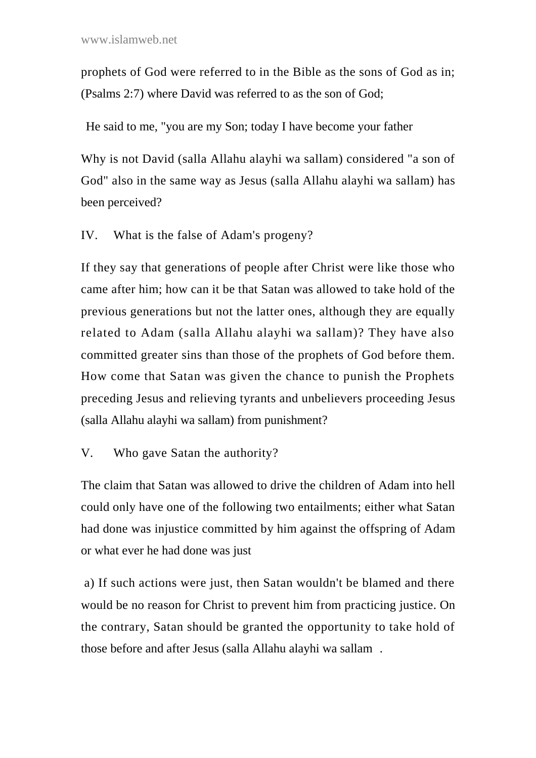prophets of God were referred to in the Bible as the sons of God as in; (Psalms 2:7) where David was referred to as the son of God;

He said to me, "you are my Son; today I have become your father

Why is not David (salla Allahu alayhi wa sallam) considered "a son of God" also in the same way as Jesus (salla Allahu alayhi wa sallam) has been perceived?

IV. What is the false of Adam's progeny?

If they say that generations of people after Christ were like those who came after him; how can it be that Satan was allowed to take hold of the previous generations but not the latter ones, although they are equally related to Adam (salla Allahu alayhi wa sallam)? They have also committed greater sins than those of the prophets of God before them. How come that Satan was given the chance to punish the Prophets preceding Jesus and relieving tyrants and unbelievers proceeding Jesus (salla Allahu alayhi wa sallam) from punishment?

# V. Who gave Satan the authority?

The claim that Satan was allowed to drive the children of Adam into hell could only have one of the following two entailments; either what Satan had done was injustice committed by him against the offspring of Adam or what ever he had done was just

a) If such actions were just, then Satan wouldn't be blamed and there would be no reason for Christ to prevent him from practicing justice. On the contrary, Satan should be granted the opportunity to take hold of those before and after Jesus (salla Allahu alayhi wa sallam .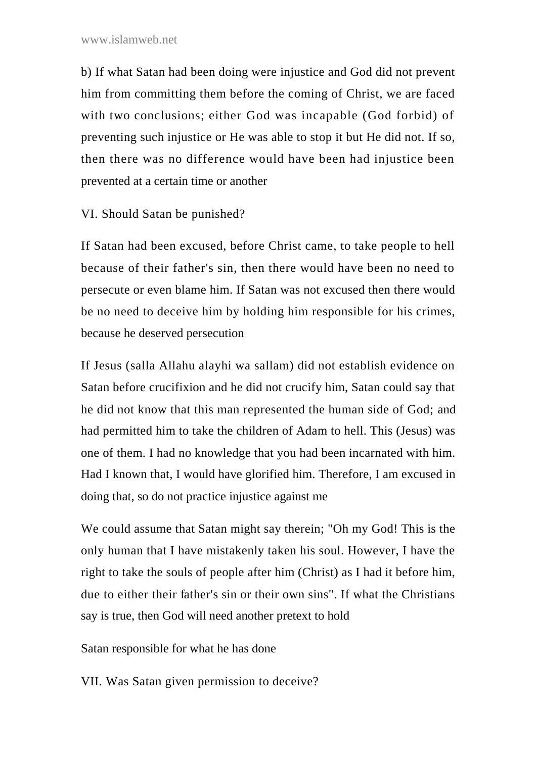b) If what Satan had been doing were injustice and God did not prevent him from committing them before the coming of Christ, we are faced with two conclusions; either God was incapable (God forbid) of preventing such injustice or He was able to stop it but He did not. If so, then there was no difference would have been had injustice been prevented at a certain time or another

VI. Should Satan be punished?

If Satan had been excused, before Christ came, to take people to hell because of their father's sin, then there would have been no need to persecute or even blame him. If Satan was not excused then there would be no need to deceive him by holding him responsible for his crimes, because he deserved persecution

If Jesus (salla Allahu alayhi wa sallam) did not establish evidence on Satan before crucifixion and he did not crucify him, Satan could say that he did not know that this man represented the human side of God; and had permitted him to take the children of Adam to hell. This (Jesus) was one of them. I had no knowledge that you had been incarnated with him. Had I known that, I would have glorified him. Therefore, I am excused in doing that, so do not practice injustice against me

We could assume that Satan might say therein; "Oh my God! This is the only human that I have mistakenly taken his soul. However, I have the right to take the souls of people after him (Christ) as I had it before him, due to either their father's sin or their own sins". If what the Christians say is true, then God will need another pretext to hold

Satan responsible for what he has done

VII. Was Satan given permission to deceive?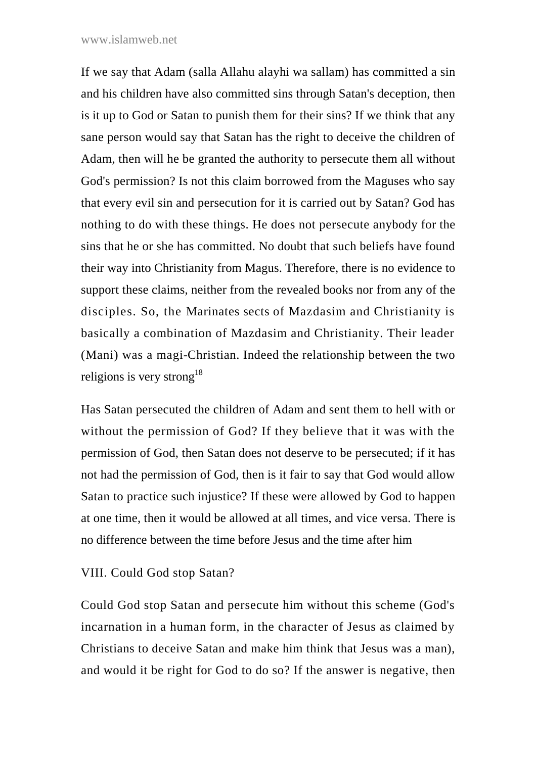#### www.islamweb.net

If we say that Adam (salla Allahu alayhi wa sallam) has committed a sin and his children have also committed sins through Satan's deception, then is it up to God or Satan to punish them for their sins? If we think that any sane person would say that Satan has the right to deceive the children of Adam, then will he be granted the authority to persecute them all without God's permission? Is not this claim borrowed from the Maguses who say that every evil sin and persecution for it is carried out by Satan? God has nothing to do with these things. He does not persecute anybody for the sins that he or she has committed. No doubt that such beliefs have found their way into Christianity from Magus. Therefore, there is no evidence to support these claims, neither from the revealed books nor from any of the disciples. So, the Marinates sects of Mazdasim and Christianity is basically a combination of Mazdasim and Christianity. Their leader (Mani) was a magi-Christian. Indeed the relationship between the two religions is very strong<sup>18</sup>

Has Satan persecuted the children of Adam and sent them to hell with or without the permission of God? If they believe that it was with the permission of God, then Satan does not deserve to be persecuted; if it has not had the permission of God, then is it fair to say that God would allow Satan to practice such injustice? If these were allowed by God to happen at one time, then it would be allowed at all times, and vice versa. There is no difference between the time before Jesus and the time after him

### VIII. Could God stop Satan?

Could God stop Satan and persecute him without this scheme (God's incarnation in a human form, in the character of Jesus as claimed by Christians to deceive Satan and make him think that Jesus was a man), and would it be right for God to do so? If the answer is negative, then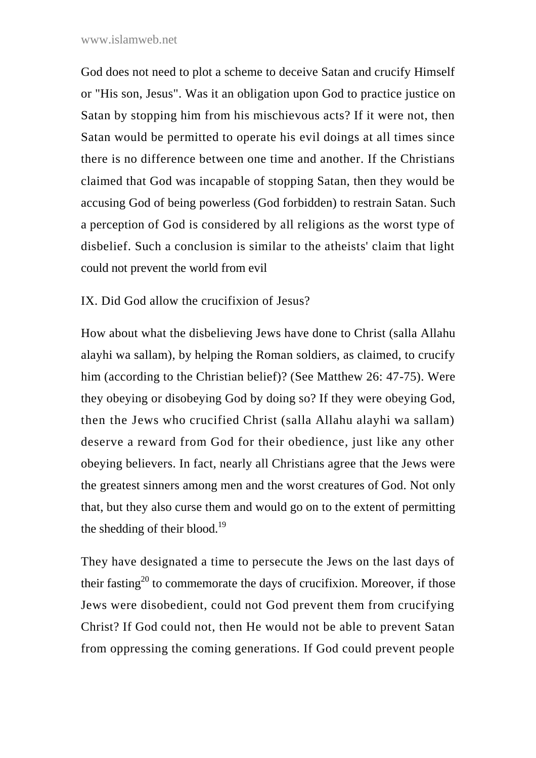God does not need to plot a scheme to deceive Satan and crucify Himself or "His son, Jesus". Was it an obligation upon God to practice justice on Satan by stopping him from his mischievous acts? If it were not, then Satan would be permitted to operate his evil doings at all times since there is no difference between one time and another. If the Christians claimed that God was incapable of stopping Satan, then they would be accusing God of being powerless (God forbidden) to restrain Satan. Such a perception of God is considered by all religions as the worst type of disbelief. Such a conclusion is similar to the atheists' claim that light could not prevent the world from evil

IX. Did God allow the crucifixion of Jesus?

How about what the disbelieving Jews have done to Christ (salla Allahu alayhi wa sallam), by helping the Roman soldiers, as claimed, to crucify him (according to the Christian belief)? (See Matthew 26: 47-75). Were they obeying or disobeying God by doing so? If they were obeying God, then the Jews who crucified Christ (salla Allahu alayhi wa sallam) deserve a reward from God for their obedience, just like any other obeying believers. In fact, nearly all Christians agree that the Jews were the greatest sinners among men and the worst creatures of God. Not only that, but they also curse them and would go on to the extent of permitting the shedding of their blood. $^{19}$ 

They have designated a time to persecute the Jews on the last days of their fasting<sup>20</sup> to commemorate the days of crucifixion. Moreover, if those Jews were disobedient, could not God prevent them from crucifying Christ? If God could not, then He would not be able to prevent Satan from oppressing the coming generations. If God could prevent people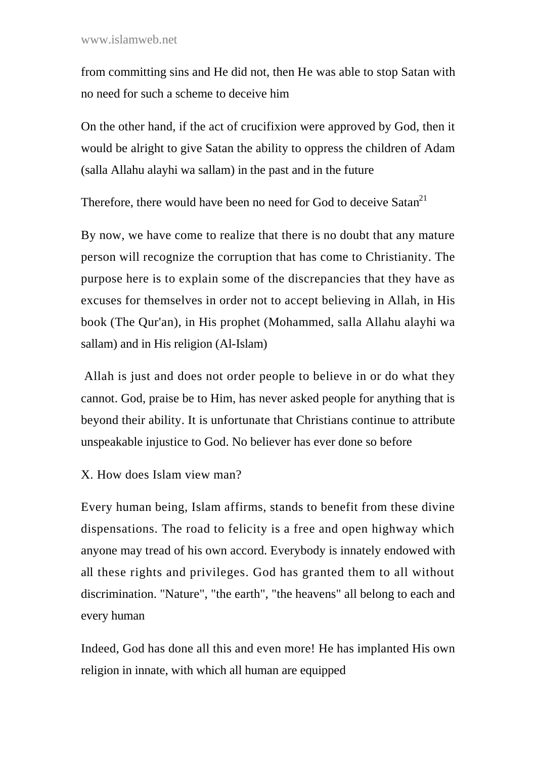from committing sins and He did not, then He was able to stop Satan with no need for such a scheme to deceive him

On the other hand, if the act of crucifixion were approved by God, then it would be alright to give Satan the ability to oppress the children of Adam (salla Allahu alayhi wa sallam) in the past and in the future

Therefore, there would have been no need for God to deceive Satan<sup>21</sup>

By now, we have come to realize that there is no doubt that any mature person will recognize the corruption that has come to Christianity. The purpose here is to explain some of the discrepancies that they have as excuses for themselves in order not to accept believing in Allah, in His book (The Qur'an), in His prophet (Mohammed, salla Allahu alayhi wa sallam) and in His religion (Al-Islam)

Allah is just and does not order people to believe in or do what they cannot. God, praise be to Him, has never asked people for anything that is beyond their ability. It is unfortunate that Christians continue to attribute unspeakable injustice to God. No believer has ever done so before

X. How does Islam view man?

Every human being, Islam affirms, stands to benefit from these divine dispensations. The road to felicity is a free and open highway which anyone may tread of his own accord. Everybody is innately endowed with all these rights and privileges. God has granted them to all without discrimination. "Nature", "the earth", "the heavens" all belong to each and every human

Indeed, God has done all this and even more! He has implanted His own religion in innate, with which all human are equipped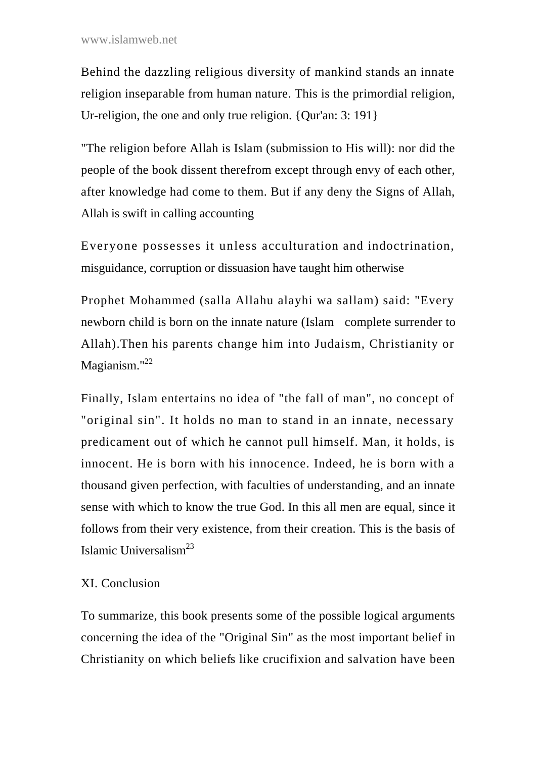Behind the dazzling religious diversity of mankind stands an innate religion inseparable from human nature. This is the primordial religion, Ur-religion, the one and only true religion. {Qur'an: 3: 191}

"The religion before Allah is Islam (submission to His will): nor did the people of the book dissent therefrom except through envy of each other, after knowledge had come to them. But if any deny the Signs of Allah, Allah is swift in calling accounting

Everyone possesses it unless acculturation and indoctrination, misguidance, corruption or dissuasion have taught him otherwise

Prophet Mohammed (salla Allahu alayhi wa sallam) said: "Every newborn child is born on the innate nature (Islam complete surrender to Allah).Then his parents change him into Judaism, Christianity or Magianism."<sup>22</sup>

Finally, Islam entertains no idea of "the fall of man", no concept of "original sin". It holds no man to stand in an innate, necessary predicament out of which he cannot pull himself. Man, it holds, is innocent. He is born with his innocence. Indeed, he is born with a thousand given perfection, with faculties of understanding, and an innate sense with which to know the true God. In this all men are equal, since it follows from their very existence, from their creation. This is the basis of Islamic Universalism $^{23}$ 

# XI. Conclusion

To summarize, this book presents some of the possible logical arguments concerning the idea of the "Original Sin" as the most important belief in Christianity on which beliefs like crucifixion and salvation have been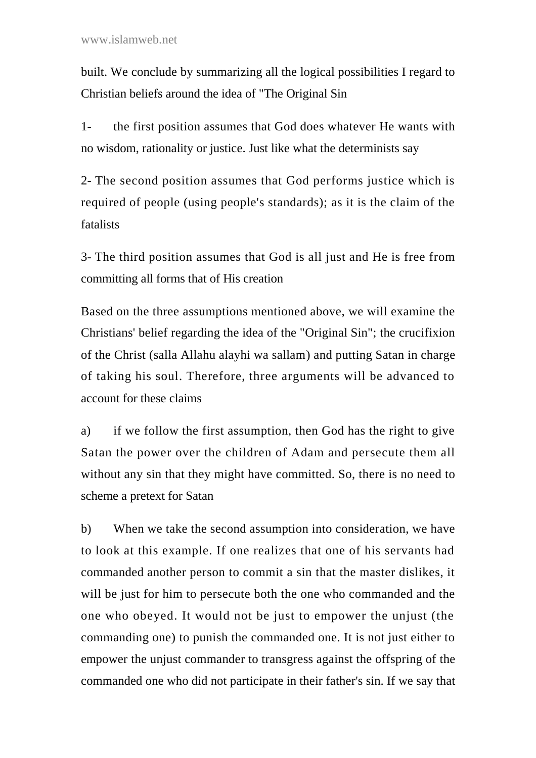built. We conclude by summarizing all the logical possibilities I regard to Christian beliefs around the idea of "The Original Sin

1- the first position assumes that God does whatever He wants with no wisdom, rationality or justice. Just like what the determinists say

2- The second position assumes that God performs justice which is required of people (using people's standards); as it is the claim of the fatalists

3- The third position assumes that God is all just and He is free from committing all forms that of His creation

Based on the three assumptions mentioned above, we will examine the Christians' belief regarding the idea of the "Original Sin"; the crucifixion of the Christ (salla Allahu alayhi wa sallam) and putting Satan in charge of taking his soul. Therefore, three arguments will be advanced to account for these claims

a) if we follow the first assumption, then God has the right to give Satan the power over the children of Adam and persecute them all without any sin that they might have committed. So, there is no need to scheme a pretext for Satan

b) When we take the second assumption into consideration, we have to look at this example. If one realizes that one of his servants had commanded another person to commit a sin that the master dislikes, it will be just for him to persecute both the one who commanded and the one who obeyed. It would not be just to empower the unjust (the commanding one) to punish the commanded one. It is not just either to empower the unjust commander to transgress against the offspring of the commanded one who did not participate in their father's sin. If we say that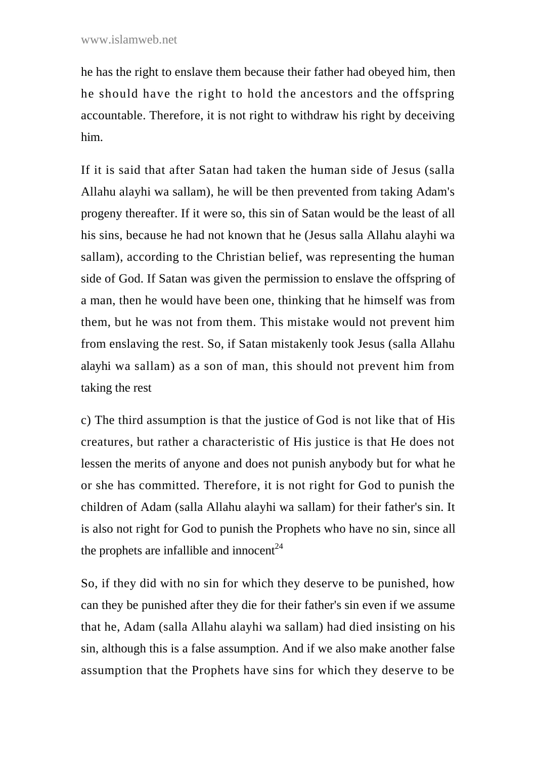he has the right to enslave them because their father had obeyed him, then he should have the right to hold the ancestors and the offspring accountable. Therefore, it is not right to withdraw his right by deceiving him.

If it is said that after Satan had taken the human side of Jesus (salla Allahu alayhi wa sallam), he will be then prevented from taking Adam's progeny thereafter. If it were so, this sin of Satan would be the least of all his sins, because he had not known that he (Jesus salla Allahu alayhi wa sallam), according to the Christian belief, was representing the human side of God. If Satan was given the permission to enslave the offspring of a man, then he would have been one, thinking that he himself was from them, but he was not from them. This mistake would not prevent him from enslaving the rest. So, if Satan mistakenly took Jesus (salla Allahu alayhi wa sallam) as a son of man, this should not prevent him from taking the rest

c) The third assumption is that the justice of God is not like that of His creatures, but rather a characteristic of His justice is that He does not lessen the merits of anyone and does not punish anybody but for what he or she has committed. Therefore, it is not right for God to punish the children of Adam (salla Allahu alayhi wa sallam) for their father's sin. It is also not right for God to punish the Prophets who have no sin, since all the prophets are infallible and innocent<sup>24</sup>

So, if they did with no sin for which they deserve to be punished, how can they be punished after they die for their father's sin even if we assume that he, Adam (salla Allahu alayhi wa sallam) had died insisting on his sin, although this is a false assumption. And if we also make another false assumption that the Prophets have sins for which they deserve to be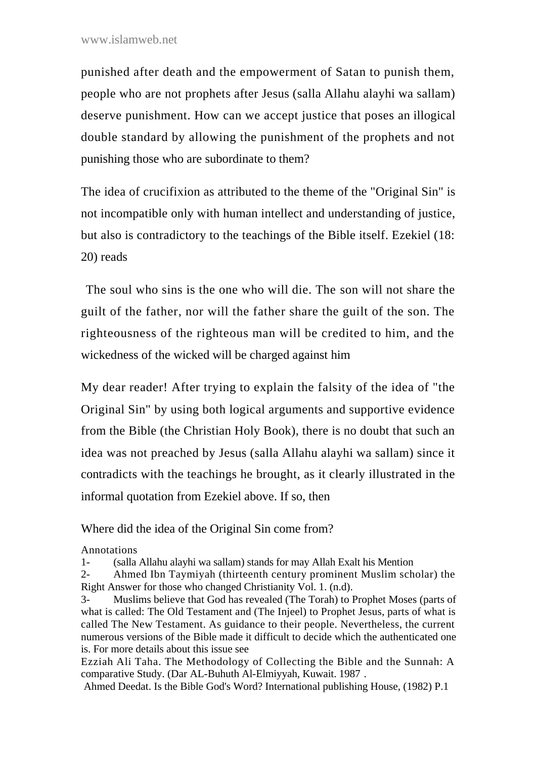punished after death and the empowerment of Satan to punish them, people who are not prophets after Jesus (salla Allahu alayhi wa sallam) deserve punishment. How can we accept justice that poses an illogical double standard by allowing the punishment of the prophets and not punishing those who are subordinate to them?

The idea of crucifixion as attributed to the theme of the "Original Sin" is not incompatible only with human intellect and understanding of justice, but also is contradictory to the teachings of the Bible itself. Ezekiel (18: 20) reads

The soul who sins is the one who will die. The son will not share the guilt of the father, nor will the father share the guilt of the son. The righteousness of the righteous man will be credited to him, and the wickedness of the wicked will be charged against him

My dear reader! After trying to explain the falsity of the idea of "the Original Sin" by using both logical arguments and supportive evidence from the Bible (the Christian Holy Book), there is no doubt that such an idea was not preached by Jesus (salla Allahu alayhi wa sallam) since it contradicts with the teachings he brought, as it clearly illustrated in the informal quotation from Ezekiel above. If so, then

Where did the idea of the Original Sin come from?

Annotations

1- (salla Allahu alayhi wa sallam) stands for may Allah Exalt his Mention

2- Ahmed Ibn Taymiyah (thirteenth century prominent Muslim scholar) the Right Answer for those who changed Christianity Vol. 1. (n.d).

Ezziah Ali Taha. The Methodology of Collecting the Bible and the Sunnah: A comparative Study. (Dar AL-Buhuth Al-Elmiyyah, Kuwait. 1987 .

Ahmed Deedat. Is the Bible God's Word? International publishing House, (1982) P.1

<sup>3-</sup> Muslims believe that God has revealed (The Torah) to Prophet Moses (parts of what is called: The Old Testament and (The Injeel) to Prophet Jesus, parts of what is called The New Testament. As guidance to their people. Nevertheless, the current numerous versions of the Bible made it difficult to decide which the authenticated one is. For more details about this issue see